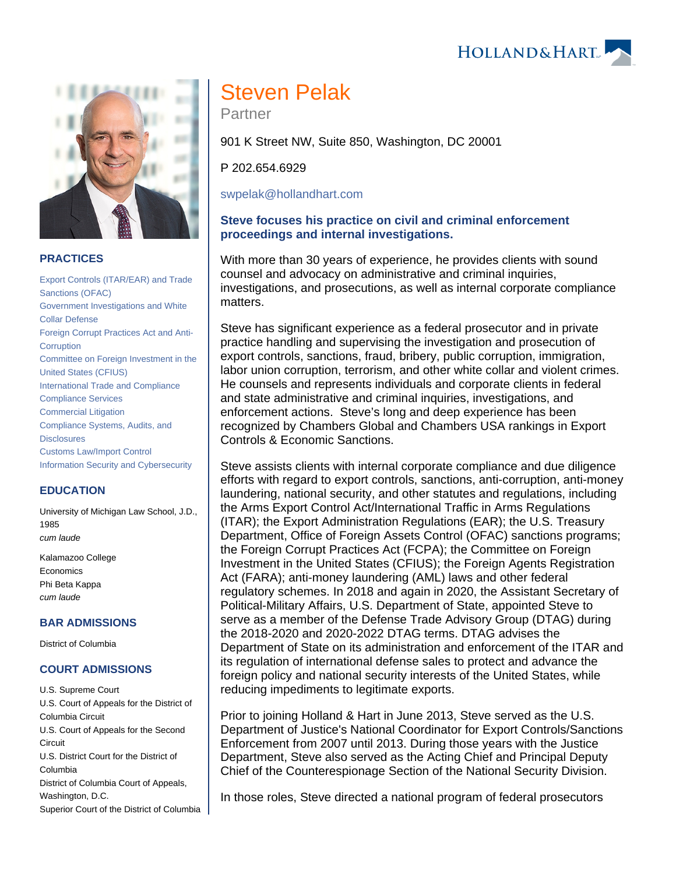#### **PRACTICES**

[Export Controls \(ITAR/EAR\) and Trade](https://www.hollandhart.com/19662)  [Sanctions \(OFAC\)](https://www.hollandhart.com/19662) [Government Investigations and White](https://www.hollandhart.com/19750)  [Collar Defense](https://www.hollandhart.com/19750) [Foreign Corrupt Practices Act and Anti-](https://www.hollandhart.com/19707)**[Corruption](https://www.hollandhart.com/19707)** [Committee on Foreign Investment in the](https://www.hollandhart.com/19710)  [United States \(CFIUS\)](https://www.hollandhart.com/19710) [International Trade and Compliance](https://www.hollandhart.com/19752) [Compliance Services](https://www.hollandhart.com/28491) [Commercial Litigation](https://www.hollandhart.com/19684) [Compliance Systems, Audits, and](https://www.hollandhart.com/19747)  **[Disclosures](https://www.hollandhart.com/19747)** [Customs Law/Import Control](https://www.hollandhart.com/19744) [Information Security and Cybersecurity](https://www.hollandhart.com/19765)

## **EDUCATION**

University of Michigan Law School, J.D., 1985 cum laude

Kalamazoo College Economics Phi Beta Kappa cum laude

#### **BAR ADMISSIONS**

District of Columbia

#### **COURT ADMISSIONS**

U.S. Supreme Court U.S. Court of Appeals for the District of Columbia Circuit U.S. Court of Appeals for the Second **Circuit** U.S. District Court for the District of Columbia District of Columbia Court of Appeals, Washington, D.C. Superior Court of the District of Columbia

# Steven Pelak

Partner

901 K Street NW, Suite 850, Washington, DC 20001

P 202.654.6929

[swpelak@hollandhart.com](mailto:swpelak@hollandhart.com)

### **Steve focuses his practice on civil and criminal enforcement proceedings and internal investigations.**

With more than 30 years of experience, he provides clients with sound counsel and advocacy on administrative and criminal inquiries, investigations, and prosecutions, as well as internal corporate compliance matters.

Steve has significant experience as a federal prosecutor and in private practice handling and supervising the investigation and prosecution of export controls, sanctions, fraud, bribery, public corruption, immigration, labor union corruption, terrorism, and other white collar and violent crimes. He counsels and represents individuals and corporate clients in federal and state administrative and criminal inquiries, investigations, and enforcement actions. Steve's long and deep experience has been recognized by Chambers Global and Chambers USA rankings in Export Controls & Economic Sanctions.

Steve assists clients with internal corporate compliance and due diligence efforts with regard to export controls, sanctions, anti-corruption, anti-money laundering, national security, and other statutes and regulations, including the Arms Export Control Act/International Traffic in Arms Regulations (ITAR); the Export Administration Regulations (EAR); the U.S. Treasury Department, Office of Foreign Assets Control (OFAC) sanctions programs; the Foreign Corrupt Practices Act (FCPA); the Committee on Foreign Investment in the United States (CFIUS); the Foreign Agents Registration Act (FARA); anti-money laundering (AML) laws and other federal regulatory schemes. In 2018 and again in 2020, the Assistant Secretary of Political-Military Affairs, U.S. Department of State, appointed Steve to serve as a member of the Defense Trade Advisory Group (DTAG) during the 2018-2020 and 2020-2022 DTAG terms. DTAG advises the Department of State on its administration and enforcement of the ITAR and its regulation of international defense sales to protect and advance the foreign policy and national security interests of the United States, while reducing impediments to legitimate exports.

Prior to joining Holland & Hart in June 2013, Steve served as the U.S. Department of Justice's National Coordinator for Export Controls/Sanctions Enforcement from 2007 until 2013. During those years with the Justice Department, Steve also served as the Acting Chief and Principal Deputy Chief of the Counterespionage Section of the National Security Division.

In those roles, Steve directed a national program of federal prosecutors



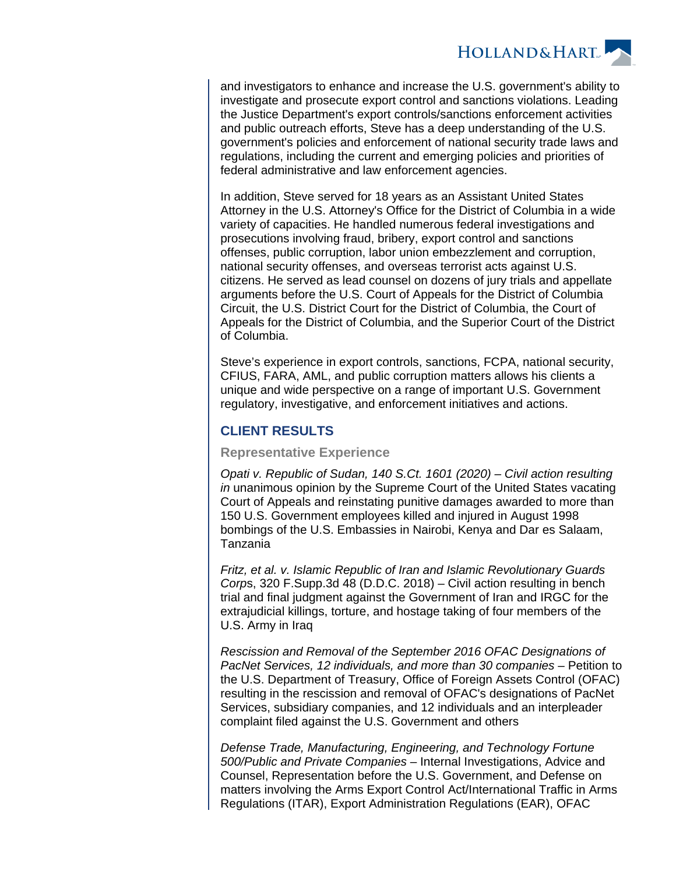

and investigators to enhance and increase the U.S. government's ability to investigate and prosecute export control and sanctions violations. Leading the Justice Department's export controls/sanctions enforcement activities and public outreach efforts, Steve has a deep understanding of the U.S. government's policies and enforcement of national security trade laws and regulations, including the current and emerging policies and priorities of federal administrative and law enforcement agencies.

In addition, Steve served for 18 years as an Assistant United States Attorney in the U.S. Attorney's Office for the District of Columbia in a wide variety of capacities. He handled numerous federal investigations and prosecutions involving fraud, bribery, export control and sanctions offenses, public corruption, labor union embezzlement and corruption, national security offenses, and overseas terrorist acts against U.S. citizens. He served as lead counsel on dozens of jury trials and appellate arguments before the U.S. Court of Appeals for the District of Columbia Circuit, the U.S. District Court for the District of Columbia, the Court of Appeals for the District of Columbia, and the Superior Court of the District of Columbia.

Steve's experience in export controls, sanctions, FCPA, national security, CFIUS, FARA, AML, and public corruption matters allows his clients a unique and wide perspective on a range of important U.S. Government regulatory, investigative, and enforcement initiatives and actions.

# **CLIENT RESULTS**

#### **Representative Experience**

Opati v. Republic of Sudan, 140 S.Ct. 1601 (2020) – Civil action resulting in unanimous opinion by the Supreme Court of the United States vacating Court of Appeals and reinstating punitive damages awarded to more than 150 U.S. Government employees killed and injured in August 1998 bombings of the U.S. Embassies in Nairobi, Kenya and Dar es Salaam, Tanzania

Fritz, et al. v. Islamic Republic of Iran and Islamic Revolutionary Guards Corps, 320 F.Supp.3d 48 (D.D.C. 2018) – Civil action resulting in bench trial and final judgment against the Government of Iran and IRGC for the extrajudicial killings, torture, and hostage taking of four members of the U.S. Army in Iraq

Rescission and Removal of the September 2016 OFAC Designations of PacNet Services, 12 individuals, and more than 30 companies – Petition to the U.S. Department of Treasury, Office of Foreign Assets Control (OFAC) resulting in the rescission and removal of OFAC's designations of PacNet Services, subsidiary companies, and 12 individuals and an interpleader complaint filed against the U.S. Government and others

Defense Trade, Manufacturing, Engineering, and Technology Fortune 500/Public and Private Companies – Internal Investigations, Advice and Counsel, Representation before the U.S. Government, and Defense on matters involving the Arms Export Control Act/International Traffic in Arms Regulations (ITAR), Export Administration Regulations (EAR), OFAC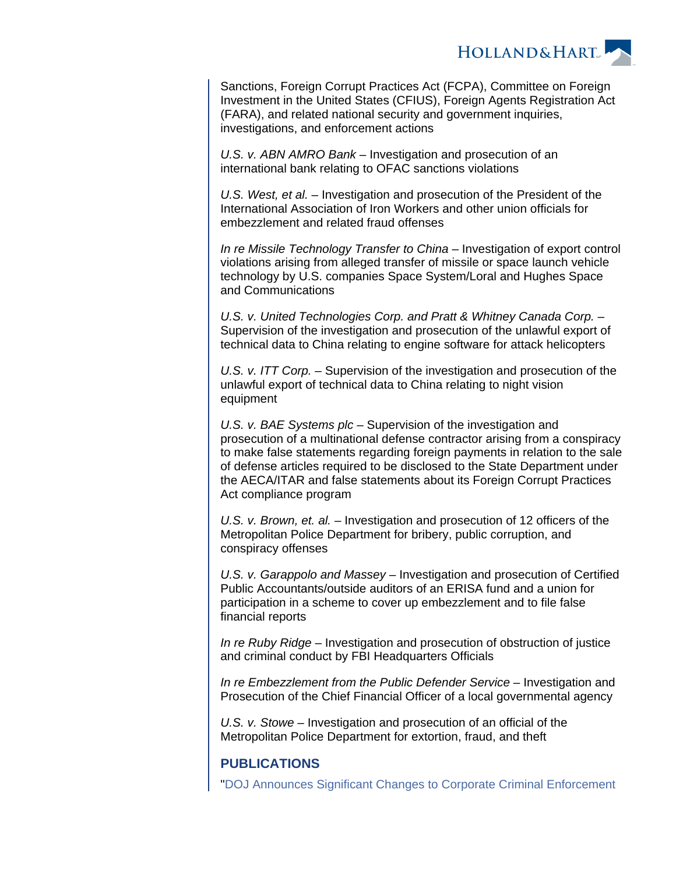

Sanctions, Foreign Corrupt Practices Act (FCPA), Committee on Foreign Investment in the United States (CFIUS), Foreign Agents Registration Act (FARA), and related national security and government inquiries, investigations, and enforcement actions

U.S. v. ABN AMRO Bank – Investigation and prosecution of an international bank relating to OFAC sanctions violations

U.S. West, et al. – Investigation and prosecution of the President of the International Association of Iron Workers and other union officials for embezzlement and related fraud offenses

In re Missile Technology Transfer to China – Investigation of export control violations arising from alleged transfer of missile or space launch vehicle technology by U.S. companies Space System/Loral and Hughes Space and Communications

U.S. v. United Technologies Corp. and Pratt & Whitney Canada Corp. – Supervision of the investigation and prosecution of the unlawful export of technical data to China relating to engine software for attack helicopters

U.S. v. ITT Corp. – Supervision of the investigation and prosecution of the unlawful export of technical data to China relating to night vision equipment

U.S. v. BAE Systems plc - Supervision of the investigation and prosecution of a multinational defense contractor arising from a conspiracy to make false statements regarding foreign payments in relation to the sale of defense articles required to be disclosed to the State Department under the AECA/ITAR and false statements about its Foreign Corrupt Practices Act compliance program

U.S. v. Brown, et. al. – Investigation and prosecution of 12 officers of the Metropolitan Police Department for bribery, public corruption, and conspiracy offenses

U.S. v. Garappolo and Massey – Investigation and prosecution of Certified Public Accountants/outside auditors of an ERISA fund and a union for participation in a scheme to cover up embezzlement and to file false financial reports

In re Ruby Ridge – Investigation and prosecution of obstruction of justice and criminal conduct by FBI Headquarters Officials

In re Embezzlement from the Public Defender Service – Investigation and Prosecution of the Chief Financial Officer of a local governmental agency

U.S. v. Stowe – Investigation and prosecution of an official of the Metropolitan Police Department for extortion, fraud, and theft

# **PUBLICATIONS**

"[DOJ Announces Significant Changes to Corporate Criminal Enforcement](https://www.hollandhart.com/doj-announces-significant-changes-to-corporate-criminal-enforcement-policies)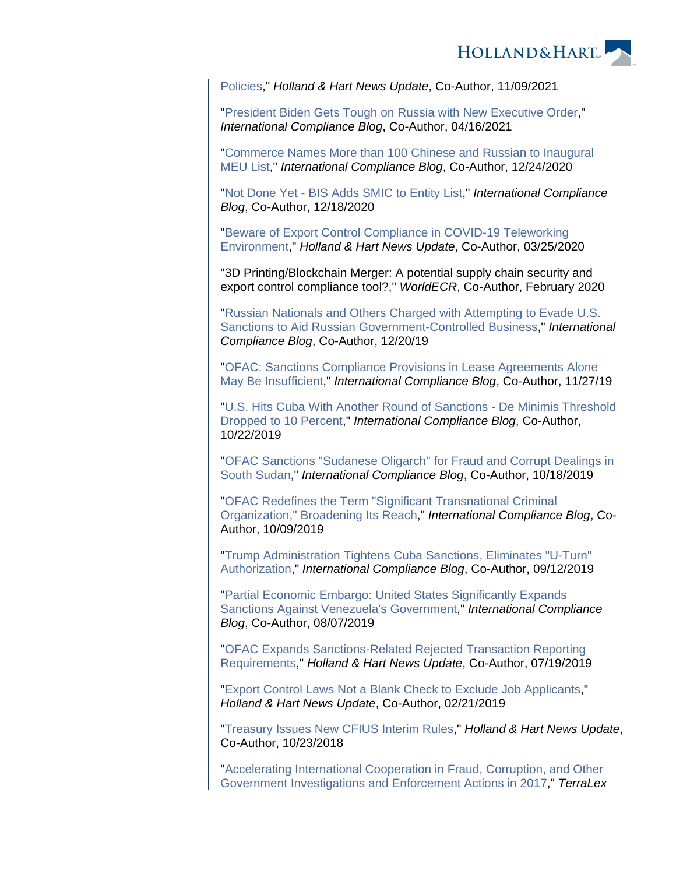

[Policies,](https://www.hollandhart.com/doj-announces-significant-changes-to-corporate-criminal-enforcement-policies)" Holland & Hart News Update, Co-Author, 11/09/2021

"[President Biden Gets Tough on Russia with New Executive Order](https://www.internationalcomplianceblog.com/president-biden-gets-tough-on-russia-with-new-executive-order/)," International Compliance Blog, Co-Author, 04/16/2021

"[Commerce Names More than 100 Chinese and Russian to Inaugural](https://www.internationalcomplianceblog.com/commerce-names-more-than-100-chinese-and-russian-to-inaugural-meu-list/)  [MEU List](https://www.internationalcomplianceblog.com/commerce-names-more-than-100-chinese-and-russian-to-inaugural-meu-list/)," International Compliance Blog, Co-Author, 12/24/2020

"[Not Done Yet - BIS Adds SMIC to Entity List,](https://www.internationalcomplianceblog.com/not-done-yet-bis-adds-smic-to-entity-list/)" International Compliance Blog, Co-Author, 12/18/2020

"[Beware of Export Control Compliance in COVID-19 Teleworking](https://www.hollandhart.com/37297)  [Environment,](https://www.hollandhart.com/37297)" Holland & Hart News Update, Co-Author, 03/25/2020

"3D Printing/Blockchain Merger: A potential supply chain security and export control compliance tool?," WorldECR, Co-Author, February 2020

"[Russian Nationals and Others Charged with Attempting to Evade U.S.](https://www.internationalcomplianceblog.com/russian-nationals-and-others-charged-with-attempting-to-evade-u-s-sanctions-to-aid-russian-government-controlled-business/)  [Sanctions to Aid Russian Government-Controlled Business](https://www.internationalcomplianceblog.com/russian-nationals-and-others-charged-with-attempting-to-evade-u-s-sanctions-to-aid-russian-government-controlled-business/)," International Compliance Blog, Co-Author, 12/20/19

"[OFAC: Sanctions Compliance Provisions in Lease Agreements Alone](https://www.internationalcomplianceblog.com/ofac-sanctions-compliance-provisions-in-lease-agreements-alone-may-be-insufficient/)  [May Be Insufficient,](https://www.internationalcomplianceblog.com/ofac-sanctions-compliance-provisions-in-lease-agreements-alone-may-be-insufficient/)" International Compliance Blog, Co-Author, 11/27/19

"[U.S. Hits Cuba With Another Round of Sanctions - De Minimis Threshold](https://www.internationalcomplianceblog.com/u-s-hits-cuba-with-another-round-of-sanctions-de-minimis-threshold-dropped-to-10-percent/)  [Dropped to 10 Percent](https://www.internationalcomplianceblog.com/u-s-hits-cuba-with-another-round-of-sanctions-de-minimis-threshold-dropped-to-10-percent/)," International Compliance Blog, Co-Author, 10/22/2019

"[OFAC Sanctions "Sudanese Oligarch" for Fraud and Corrupt Dealings in](https://www.internationalcomplianceblog.com/ofac-sanctions-sudanese-oligarch-for-fraud-and-corrupt-dealings-in-south-sudan/)  [South Sudan](https://www.internationalcomplianceblog.com/ofac-sanctions-sudanese-oligarch-for-fraud-and-corrupt-dealings-in-south-sudan/)," International Compliance Blog, Co-Author, 10/18/2019

"[OFAC Redefines the Term "Significant Transnational Criminal](https://www.internationalcomplianceblog.com/ofac-redefines-the-term-significant-transnational-criminal-organization-broadening-its-reach/)  [Organization," Broadening Its Reach,](https://www.internationalcomplianceblog.com/ofac-redefines-the-term-significant-transnational-criminal-organization-broadening-its-reach/)" International Compliance Blog, Co-Author, 10/09/2019

"[Trump Administration Tightens Cuba Sanctions, Eliminates "U-Turn"](https://www.internationalcomplianceblog.com/trump-administration-tightens-cuba-sanctions-eliminates-u-turn-authorization/)  [Authorization](https://www.internationalcomplianceblog.com/trump-administration-tightens-cuba-sanctions-eliminates-u-turn-authorization/)," International Compliance Blog, Co-Author, 09/12/2019

"[Partial Economic Embargo: United States Significantly Expands](https://www.internationalcomplianceblog.com/partial-economic-embargo-united-states-significantly-expands-sanctions-against-venezuelas-government/)  [Sanctions Against Venezuela's Government](https://www.internationalcomplianceblog.com/partial-economic-embargo-united-states-significantly-expands-sanctions-against-venezuelas-government/)," International Compliance Blog, Co-Author, 08/07/2019

"[OFAC Expands Sanctions-Related Rejected Transaction Reporting](https://www.hollandhart.com/36267)  [Requirements](https://www.hollandhart.com/36267)," Holland & Hart News Update, Co-Author, 07/19/2019

"[Export Control Laws Not a Blank Check to Exclude Job Applicants,](https://www.hollandhart.com/35537)" Holland & Hart News Update, Co-Author, 02/21/2019

"[Treasury Issues New CFIUS Interim Rules,](https://www.hollandhart.com/35083)" Holland & Hart News Update, Co-Author, 10/23/2018

"[Accelerating International Cooperation in Fraud, Corruption, and Other](https://www.terralex.org/publication/pb1166e46c6)  [Government Investigations and Enforcement Actions in 2017,](https://www.terralex.org/publication/pb1166e46c6)" TerraLex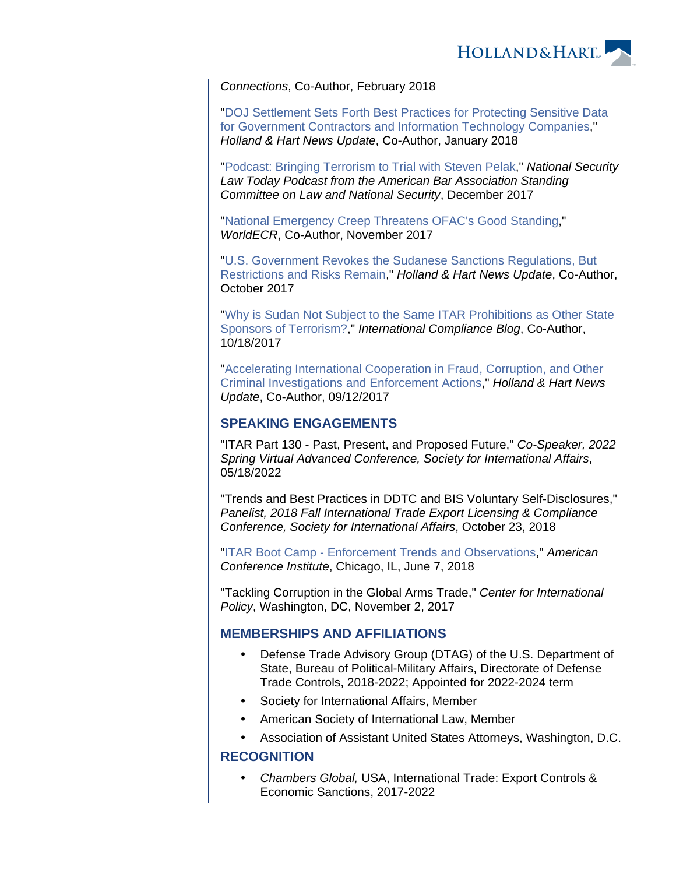

Connections, Co-Author, February 2018

"[DOJ Settlement Sets Forth Best Practices for Protecting Sensitive Data](https://www.hollandhart.com/33894)  [for Government Contractors and Information Technology Companies](https://www.hollandhart.com/33894)," Holland & Hart News Update, Co-Author, January 2018

"[Podcast: Bringing Terrorism to Trial with Steven Pelak](https://soundcloud.com/nsltoday/bringing-terrorism-to-trial-with-steven-pelak)," National Security Law Today Podcast from the American Bar Association Standing Committee on Law and National Security, December 2017

"[National Emergency Creep Threatens OFAC's Good Standing](https://www.hollandhart.com/pdf/National_Emergency_Creep_Threatens_OFACs_Good_Standing.pdf)," WorldECR, Co-Author, November 2017

"[U.S. Government Revokes the Sudanese Sanctions Regulations, But](https://www.hollandhart.com/33598)  [Restrictions and Risks Remain,](https://www.hollandhart.com/33598)" Holland & Hart News Update, Co-Author, October 2017

"[Why is Sudan Not Subject to the Same ITAR Prohibitions as Other State](https://www.internationalcomplianceblog.com/why-is-sudan-not-subject-to-the-same-itar-prohibitions-as-other-state-sponsors-of-terrorism/)  [Sponsors of Terrorism?,](https://www.internationalcomplianceblog.com/why-is-sudan-not-subject-to-the-same-itar-prohibitions-as-other-state-sponsors-of-terrorism/)" International Compliance Blog, Co-Author, 10/18/2017

"[Accelerating International Cooperation in Fraud, Corruption, and Other](https://www.hollandhart.com/33462)  [Criminal Investigations and Enforcement Actions](https://www.hollandhart.com/33462)," Holland & Hart News Update, Co-Author, 09/12/2017

## **SPEAKING ENGAGEMENTS**

"ITAR Part 130 - Past, Present, and Proposed Future," Co-Speaker, 2022 Spring Virtual Advanced Conference, Society for International Affairs, 05/18/2022

"Trends and Best Practices in DDTC and BIS Voluntary Self-Disclosures," Panelist, 2018 Fall International Trade Export Licensing & Compliance Conference, Society for International Affairs, October 23, 2018

"[ITAR Boot Camp - Enforcement Trends and Observations,](https://www.americanconference.com/ear-boot-camp/workshops/itar-boot-camp/)" American Conference Institute, Chicago, IL, June 7, 2018

"Tackling Corruption in the Global Arms Trade," Center for International Policy, Washington, DC, November 2, 2017

## **MEMBERSHIPS AND AFFILIATIONS**

- Defense Trade Advisory Group (DTAG) of the U.S. Department of State, Bureau of Political-Military Affairs, Directorate of Defense Trade Controls, 2018-2022; Appointed for 2022-2024 term
- Society for International Affairs, Member
- American Society of International Law, Member
- Association of Assistant United States Attorneys, Washington, D.C.

## **RECOGNITION**

 Chambers Global, USA, International Trade: Export Controls & Economic Sanctions, 2017-2022